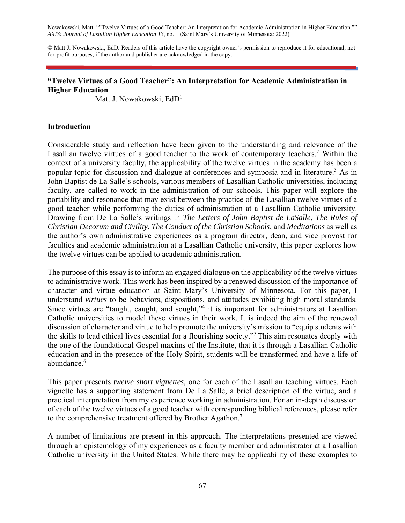Nowakowski, Matt. ""Twelve Virtues of a Good Teacher: An Interpretation for Academic Administration in Higher Education."" *AXIS: Journal of Lasallian Higher Education 13*, no. 1 (Saint Mary's University of Minnesota: 2022).

© Matt J. Nowakowski, EdD. Readers of this article have the copyright owner's permission to reproduce it for educational, notfor-profit purposes, if the author and publisher are acknowledged in the copy.

#### **"Twelve Virtues of a Good Teacher": An Interpretation for Academic Administration in Higher Education**

Matt J. Nowakowski, EdD<sup>1</sup>

#### **Introduction**

Considerable study and reflection have been given to the understanding and relevance of the Lasallian twelve virtues of a good teacher to the work of contemporary teachers.<sup>2</sup> Within the context of a university faculty, the applicability of the twelve virtues in the academy has been a popular topic for discussion and dialogue at conferences and symposia and in literature.<sup>3</sup> As in John Baptist de La Salle's schools, various members of Lasallian Catholic universities, including faculty, are called to work in the administration of our schools. This paper will explore the portability and resonance that may exist between the practice of the Lasallian twelve virtues of a good teacher while performing the duties of administration at a Lasallian Catholic university. Drawing from De La Salle's writings in *The Letters of John Baptist de LaSalle*, *The Rules of Christian Decorum and Civility*, *The Conduct of the Christian Schools*, and *Meditations* as well as the author's own administrative experiences as a program director, dean, and vice provost for faculties and academic administration at a Lasallian Catholic university, this paper explores how the twelve virtues can be applied to academic administration.

The purpose of this essay is to inform an engaged dialogue on the applicability of the twelve virtues to administrative work. This work has been inspired by a renewed discussion of the importance of character and virtue education at Saint Mary's University of Minnesota. For this paper, I understand *virtues* to be behaviors, dispositions, and attitudes exhibiting high moral standards. Since virtues are "taught, caught, and sought,"<sup>4</sup> it is important for administrators at Lasallian Catholic universities to model these virtues in their work. It is indeed the aim of the renewed discussion of character and virtue to help promote the university's mission to "equip students with the skills to lead ethical lives essential for a flourishing society."5 This aim resonates deeply with the one of the foundational Gospel maxims of the Institute, that it is through a Lasallian Catholic education and in the presence of the Holy Spirit, students will be transformed and have a life of abundance.<sup>6</sup>

This paper presents *twelve short vignettes*, one for each of the Lasallian teaching virtues. Each vignette has a supporting statement from De La Salle, a brief description of the virtue, and a practical interpretation from my experience working in administration. For an in-depth discussion of each of the twelve virtues of a good teacher with corresponding biblical references, please refer to the comprehensive treatment offered by Brother Agathon.<sup>7</sup>

A number of limitations are present in this approach. The interpretations presented are viewed through an epistemology of my experiences as a faculty member and administrator at a Lasallian Catholic university in the United States. While there may be applicability of these examples to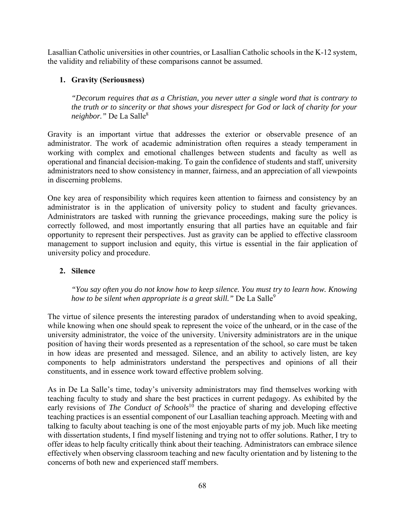Lasallian Catholic universities in other countries, or Lasallian Catholic schools in the K-12 system, the validity and reliability of these comparisons cannot be assumed.

## **1. Gravity (Seriousness)**

*"Decorum requires that as a Christian, you never utter a single word that is contrary to the truth or to sincerity or that shows your disrespect for God or lack of charity for your neighbor."* De La Salle8

Gravity is an important virtue that addresses the exterior or observable presence of an administrator. The work of academic administration often requires a steady temperament in working with complex and emotional challenges between students and faculty as well as operational and financial decision-making. To gain the confidence of students and staff, university administrators need to show consistency in manner, fairness, and an appreciation of all viewpoints in discerning problems.

One key area of responsibility which requires keen attention to fairness and consistency by an administrator is in the application of university policy to student and faculty grievances. Administrators are tasked with running the grievance proceedings, making sure the policy is correctly followed, and most importantly ensuring that all parties have an equitable and fair opportunity to represent their perspectives. Just as gravity can be applied to effective classroom management to support inclusion and equity, this virtue is essential in the fair application of university policy and procedure.

## **2. Silence**

*"You say often you do not know how to keep silence. You must try to learn how. Knowing how to be silent when appropriate is a great skill.*" De La Salle<sup>9</sup>

The virtue of silence presents the interesting paradox of understanding when to avoid speaking, while knowing when one should speak to represent the voice of the unheard, or in the case of the university administrator, the voice of the university. University administrators are in the unique position of having their words presented as a representation of the school, so care must be taken in how ideas are presented and messaged. Silence, and an ability to actively listen, are key components to help administrators understand the perspectives and opinions of all their constituents, and in essence work toward effective problem solving.

As in De La Salle's time, today's university administrators may find themselves working with teaching faculty to study and share the best practices in current pedagogy. As exhibited by the early revisions of *The Conduct of Schools*<sup>10</sup> the practice of sharing and developing effective teaching practices is an essential component of our Lasallian teaching approach. Meeting with and talking to faculty about teaching is one of the most enjoyable parts of my job. Much like meeting with dissertation students, I find myself listening and trying not to offer solutions. Rather, I try to offer ideas to help faculty critically think about their teaching. Administrators can embrace silence effectively when observing classroom teaching and new faculty orientation and by listening to the concerns of both new and experienced staff members.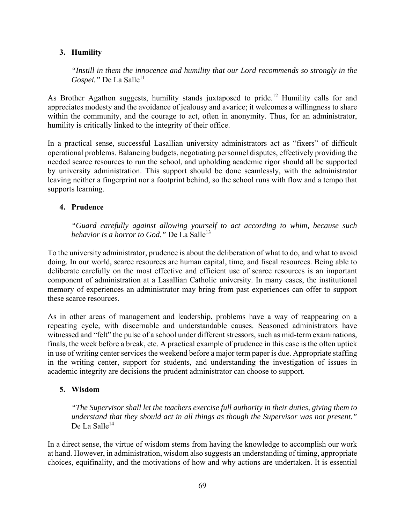## **3. Humility**

*"Instill in them the innocence and humility that our Lord recommends so strongly in the Gospel.*" De La Salle<sup>11</sup>

As Brother Agathon suggests, humility stands juxtaposed to pride.<sup>12</sup> Humility calls for and appreciates modesty and the avoidance of jealousy and avarice; it welcomes a willingness to share within the community, and the courage to act, often in anonymity. Thus, for an administrator, humility is critically linked to the integrity of their office.

In a practical sense, successful Lasallian university administrators act as "fixers" of difficult operational problems. Balancing budgets, negotiating personnel disputes, effectively providing the needed scarce resources to run the school, and upholding academic rigor should all be supported by university administration. This support should be done seamlessly, with the administrator leaving neither a fingerprint nor a footprint behind, so the school runs with flow and a tempo that supports learning.

#### **4. Prudence**

*"Guard carefully against allowing yourself to act according to whim, because such behavior is a horror to God.*" De La Salle<sup>13</sup>

To the university administrator, prudence is about the deliberation of what to do, and what to avoid doing. In our world, scarce resources are human capital, time, and fiscal resources. Being able to deliberate carefully on the most effective and efficient use of scarce resources is an important component of administration at a Lasallian Catholic university. In many cases, the institutional memory of experiences an administrator may bring from past experiences can offer to support these scarce resources.

As in other areas of management and leadership, problems have a way of reappearing on a repeating cycle, with discernable and understandable causes. Seasoned administrators have witnessed and "felt" the pulse of a school under different stressors, such as mid-term examinations, finals, the week before a break, etc. A practical example of prudence in this case is the often uptick in use of writing center services the weekend before a major term paper is due. Appropriate staffing in the writing center, support for students, and understanding the investigation of issues in academic integrity are decisions the prudent administrator can choose to support.

## **5. Wisdom**

*"The Supervisor shall let the teachers exercise full authority in their duties, giving them to understand that they should act in all things as though the Supervisor was not present."* De La Salle<sup>14</sup>

In a direct sense, the virtue of wisdom stems from having the knowledge to accomplish our work at hand. However, in administration, wisdom also suggests an understanding of timing, appropriate choices, equifinality, and the motivations of how and why actions are undertaken. It is essential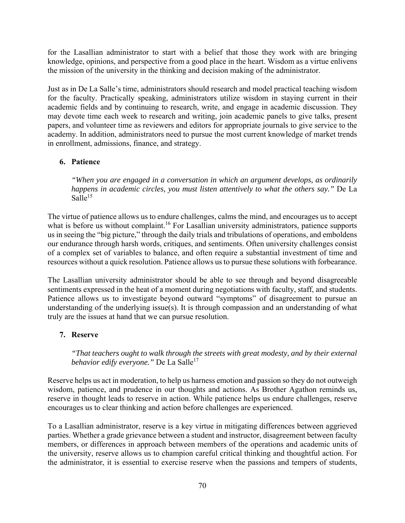for the Lasallian administrator to start with a belief that those they work with are bringing knowledge, opinions, and perspective from a good place in the heart. Wisdom as a virtue enlivens the mission of the university in the thinking and decision making of the administrator.

Just as in De La Salle's time, administrators should research and model practical teaching wisdom for the faculty. Practically speaking, administrators utilize wisdom in staying current in their academic fields and by continuing to research, write, and engage in academic discussion. They may devote time each week to research and writing, join academic panels to give talks, present papers, and volunteer time as reviewers and editors for appropriate journals to give service to the academy. In addition, administrators need to pursue the most current knowledge of market trends in enrollment, admissions, finance, and strategy.

# **6. Patience**

*"When you are engaged in a conversation in which an argument develops, as ordinarily happens in academic circles, you must listen attentively to what the others say."* De La  $Salle^{15}$ 

The virtue of patience allows us to endure challenges, calms the mind, and encourages us to accept what is before us without complaint.<sup>16</sup> For Lasallian university administrators, patience supports us in seeing the "big picture," through the daily trials and tribulations of operations, and emboldens our endurance through harsh words, critiques, and sentiments. Often university challenges consist of a complex set of variables to balance, and often require a substantial investment of time and resources without a quick resolution. Patience allows us to pursue these solutions with forbearance.

The Lasallian university administrator should be able to see through and beyond disagreeable sentiments expressed in the heat of a moment during negotiations with faculty, staff, and students. Patience allows us to investigate beyond outward "symptoms" of disagreement to pursue an understanding of the underlying issue(s). It is through compassion and an understanding of what truly are the issues at hand that we can pursue resolution.

## **7. Reserve**

*"That teachers ought to walk through the streets with great modesty, and by their external behavior edify everyone.*" De La Salle<sup>17</sup>

Reserve helps us act in moderation, to help us harness emotion and passion so they do not outweigh wisdom, patience, and prudence in our thoughts and actions. As Brother Agathon reminds us, reserve in thought leads to reserve in action. While patience helps us endure challenges, reserve encourages us to clear thinking and action before challenges are experienced.

To a Lasallian administrator, reserve is a key virtue in mitigating differences between aggrieved parties. Whether a grade grievance between a student and instructor, disagreement between faculty members, or differences in approach between members of the operations and academic units of the university, reserve allows us to champion careful critical thinking and thoughtful action. For the administrator, it is essential to exercise reserve when the passions and tempers of students,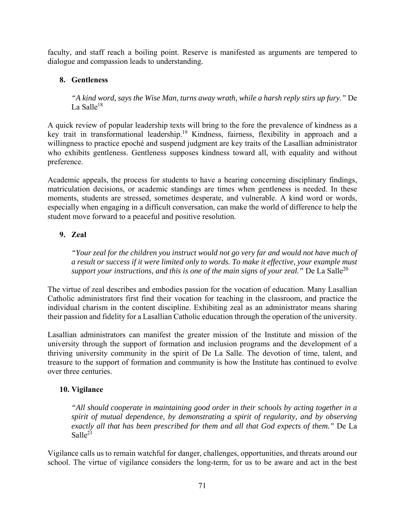faculty, and staff reach a boiling point. Reserve is manifested as arguments are tempered to dialogue and compassion leads to understanding.

## **8. Gentleness**

*"A kind word, says the Wise Man, turns away wrath, while a harsh reply stirs up fury."* De La Salle $18$ 

A quick review of popular leadership texts will bring to the fore the prevalence of kindness as a key trait in transformational leadership.<sup>19</sup> Kindness, fairness, flexibility in approach and a willingness to practice epoché and suspend judgment are key traits of the Lasallian administrator who exhibits gentleness. Gentleness supposes kindness toward all, with equality and without preference.

Academic appeals, the process for students to have a hearing concerning disciplinary findings, matriculation decisions, or academic standings are times when gentleness is needed. In these moments, students are stressed, sometimes desperate, and vulnerable. A kind word or words, especially when engaging in a difficult conversation, can make the world of difference to help the student move forward to a peaceful and positive resolution.

# **9. Zeal**

*"Your zeal for the children you instruct would not go very far and would not have much of a result or success if it were limited only to words. To make it effective, your example must support your instructions, and this is one of the main signs of your zeal.*" De La Salle<sup>20</sup>

The virtue of zeal describes and embodies passion for the vocation of education. Many Lasallian Catholic administrators first find their vocation for teaching in the classroom, and practice the individual charism in the content discipline. Exhibiting zeal as an administrator means sharing their passion and fidelity for a Lasallian Catholic education through the operation of the university.

Lasallian administrators can manifest the greater mission of the Institute and mission of the university through the support of formation and inclusion programs and the development of a thriving university community in the spirit of De La Salle. The devotion of time, talent, and treasure to the support of formation and community is how the Institute has continued to evolve over three centuries.

# **10. Vigilance**

*"All should cooperate in maintaining good order in their schools by acting together in a spirit of mutual dependence, by demonstrating a spirit of regularity, and by observing exactly all that has been prescribed for them and all that God expects of them."* De La Salle<sup>21</sup>

Vigilance calls us to remain watchful for danger, challenges, opportunities, and threats around our school. The virtue of vigilance considers the long-term, for us to be aware and act in the best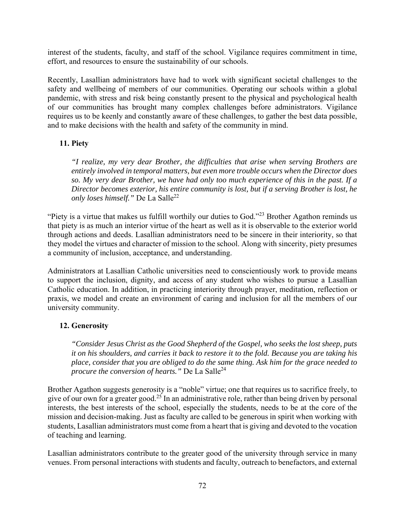interest of the students, faculty, and staff of the school. Vigilance requires commitment in time, effort, and resources to ensure the sustainability of our schools.

Recently, Lasallian administrators have had to work with significant societal challenges to the safety and wellbeing of members of our communities. Operating our schools within a global pandemic, with stress and risk being constantly present to the physical and psychological health of our communities has brought many complex challenges before administrators. Vigilance requires us to be keenly and constantly aware of these challenges, to gather the best data possible, and to make decisions with the health and safety of the community in mind.

## **11. Piety**

*"I realize, my very dear Brother, the difficulties that arise when serving Brothers are entirely involved in temporal matters, but even more trouble occurs when the Director does so. My very dear Brother, we have had only too much experience of this in the past. If a Director becomes exterior, his entire community is lost, but if a serving Brother is lost, he only loses himself.*" De La Salle<sup>22</sup>

"Piety is a virtue that makes us fulfill worthily our duties to God."23 Brother Agathon reminds us that piety is as much an interior virtue of the heart as well as it is observable to the exterior world through actions and deeds. Lasallian administrators need to be sincere in their interiority, so that they model the virtues and character of mission to the school. Along with sincerity, piety presumes a community of inclusion, acceptance, and understanding.

Administrators at Lasallian Catholic universities need to conscientiously work to provide means to support the inclusion, dignity, and access of any student who wishes to pursue a Lasallian Catholic education. In addition, in practicing interiority through prayer, meditation, reflection or praxis, we model and create an environment of caring and inclusion for all the members of our university community.

## **12. Generosity**

*"Consider Jesus Christ as the Good Shepherd of the Gospel, who seeks the lost sheep, puts it on his shoulders, and carries it back to restore it to the fold. Because you are taking his place, consider that you are obliged to do the same thing. Ask him for the grace needed to procure the conversion of hearts.*" De La Salle<sup>24</sup>

Brother Agathon suggests generosity is a "noble" virtue; one that requires us to sacrifice freely, to give of our own for a greater good.<sup>25</sup> In an administrative role, rather than being driven by personal interests, the best interests of the school, especially the students, needs to be at the core of the mission and decision-making. Just as faculty are called to be generous in spirit when working with students, Lasallian administrators must come from a heart that is giving and devoted to the vocation of teaching and learning.

Lasallian administrators contribute to the greater good of the university through service in many venues. From personal interactions with students and faculty, outreach to benefactors, and external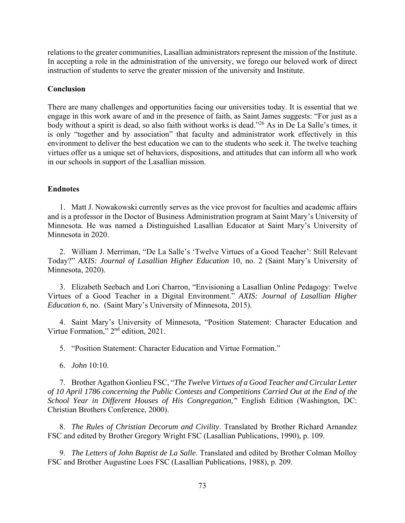relations to the greater communities, Lasallian administrators represent the mission of the Institute. In accepting a role in the administration of the university, we forego our beloved work of direct instruction of students to serve the greater mission of the university and Institute.

#### **Conclusion**

There are many challenges and opportunities facing our universities today. It is essential that we engage in this work aware of and in the presence of faith, as Saint James suggests: "For just as a body without a spirit is dead, so also faith without works is dead."26 As in De La Salle's times, it is only "together and by association" that faculty and administrator work effectively in this environment to deliver the best education we can to the students who seek it. The twelve teaching virtues offer us a unique set of behaviors, dispositions, and attitudes that can inform all who work in our schools in support of the Lasallian mission.

#### **Endnotes**

1. Matt J. Nowakowski currently serves as the vice provost for faculties and academic affairs and is a professor in the Doctor of Business Administration program at Saint Mary's University of Minnesota. He was named a Distinguished Lasallian Educator at Saint Mary's University of Minnesota in 2020.

2. William J. Merriman, "De La Salle's 'Twelve Virtues of a Good Teacher': Still Relevant Today?" *AXIS: Journal of Lasallian Higher Education* 10, no. 2 (Saint Mary's University of Minnesota, 2020).

3. Elizabeth Seebach and Lori Charron, "Envisioning a Lasallian Online Pedagogy: Twelve Virtues of a Good Teacher in a Digital Environment." *AXIS: Journal of Lasallian Higher Education* 6, no. (Saint Mary's University of Minnesota, 2015).

4. Saint Mary's University of Minnesota, "Position Statement: Character Education and Virtue Formation," 2<sup>nd</sup> edition, 2021.

5. "Position Statement: Character Education and Virtue Formation."

6. *John* 10:10.

7. Brother Agathon Gonlieu FSC, "*The Twelve Virtues of a Good Teacher and Circular Letter of 10 April 1786 concerning the Public Contests and Competitions Carried Out at the End of the School Year in Different Houses of His Congregation,"* English Edition (Washington, DC: Christian Brothers Conference, 2000).

8. *The Rules of Christian Decorum and Civility*. Translated by Brother Richard Arnandez FSC and edited by Brother Gregory Wright FSC (Lasallian Publications, 1990), p. 109.

9. *The Letters of John Baptist de La Salle*. Translated and edited by Brother Colman Molloy FSC and Brother Augustine Loes FSC (Lasallian Publications, 1988), p. 209.